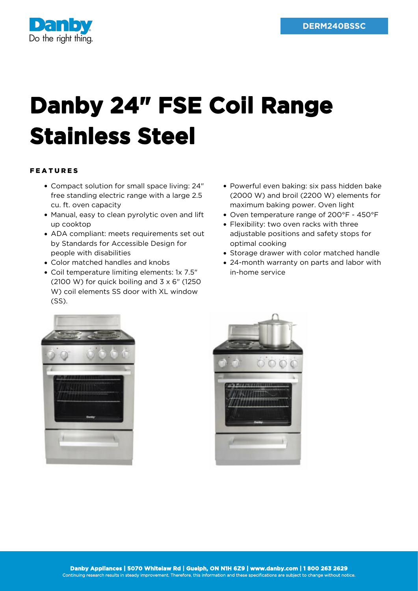

## **Danby 24" FSE Coil Range Stainless Steel**

## FEATURES

- Compact solution for small space living: 24" free standing electric range with a large 2.5 cu. ft. oven capacity
- Manual, easy to clean pyrolytic oven and lift up cooktop
- ADA compliant: meets requirements set out by Standards for Accessible Design for people with disabilities
- Color matched handles and knobs
- Coil temperature limiting elements: 1x 7.5"  $(2100 W)$  for quick boiling and  $3 \times 6$ " (1250) W) coil elements SS door with XL window (SS).
- Powerful even baking: six pass hidden bake (2000 W) and broil (2200 W) elements for maximum baking power. Oven light
- Oven temperature range of 200°F 450°F
- Flexibility: two oven racks with three adjustable positions and safety stops for optimal cooking
- Storage drawer with color matched handle
- 24-month warranty on parts and labor with in-home service